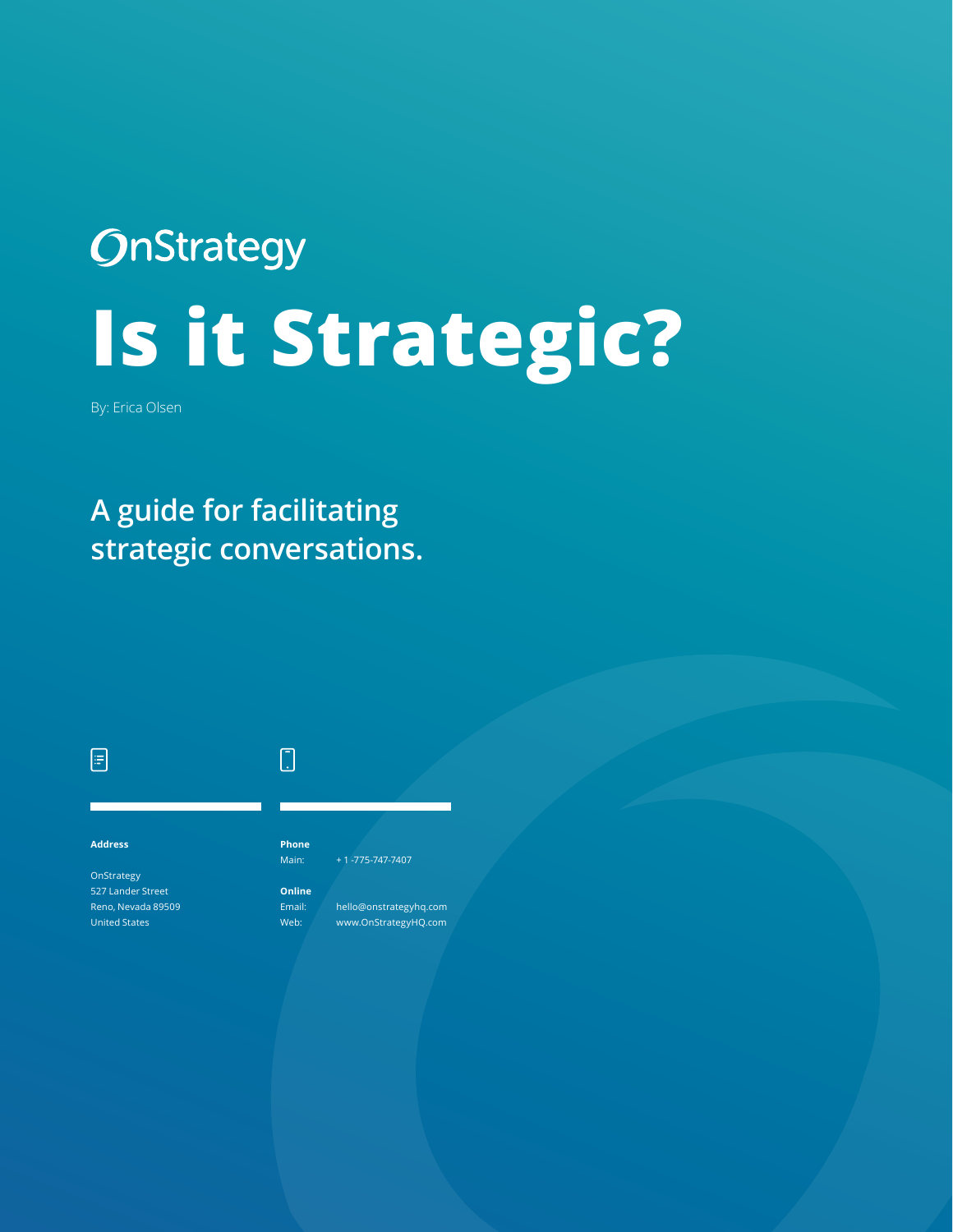# **OnStrategy Is it Strategic?**

By: Erica Olsen

### **A guide for facilitating strategic conversations.**



 $\Box$ 

OnStrategy 527 Lander Street Reno, Nevada 89509 United States

#### Main: + 1 -775-747-7407

**Phone**

 $\begin{bmatrix} 1 \\ 2 \end{bmatrix}$ 

**Online**

Email: hello@onstrategyhq.com

Web: www.OnStrategyHQ.com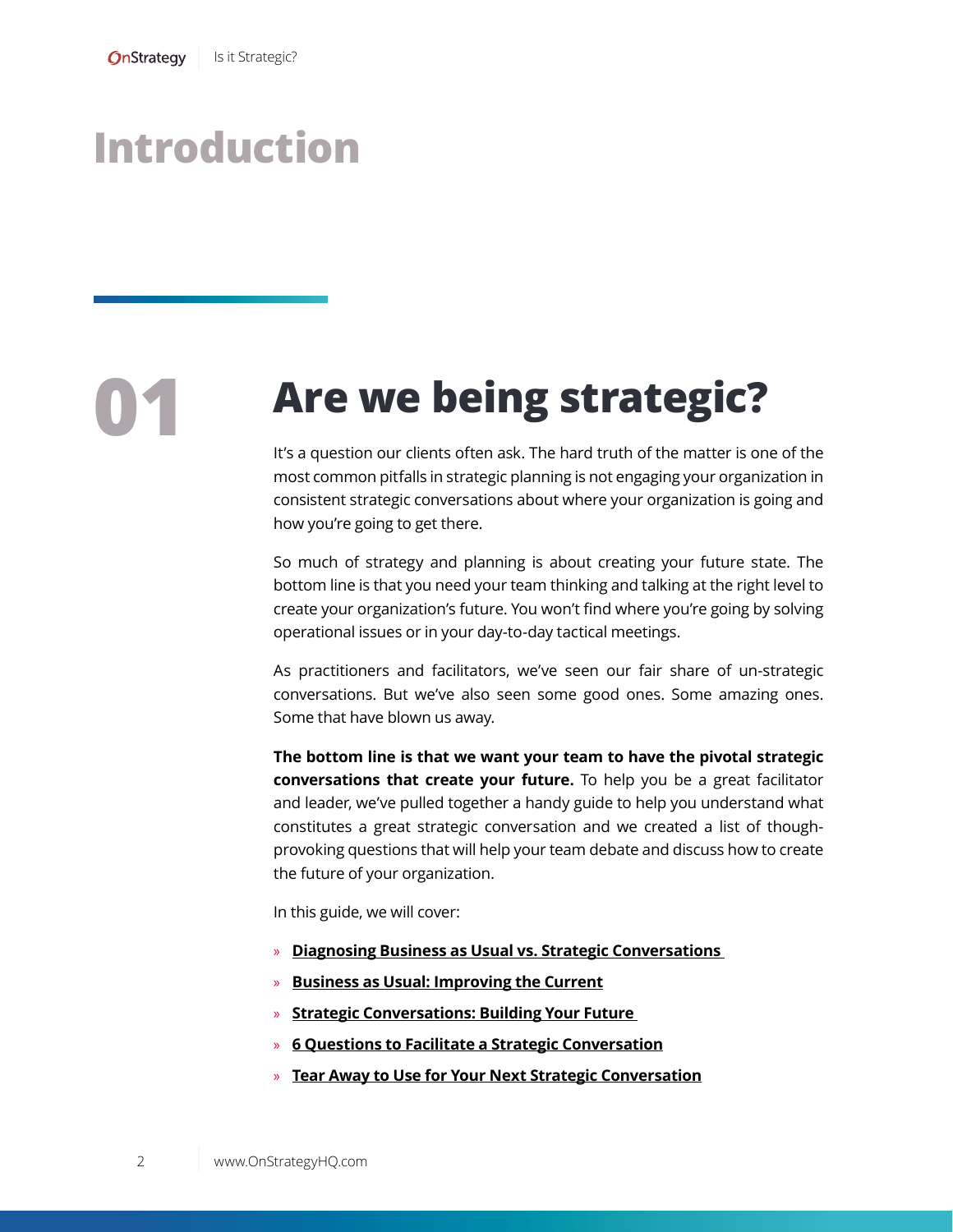## **Introduction**

# **01 Are we being strategic?**

It's a question our clients often ask. The hard truth of the matter is one of the most common pitfalls in strategic planning is not engaging your organization in consistent strategic conversations about where your organization is going and how you're going to get there.

So much of strategy and planning is about creating your future state. The bottom line is that you need your team thinking and talking at the right level to create your organization's future. You won't find where you're going by solving operational issues or in your day-to-day tactical meetings.

As practitioners and facilitators, we've seen our fair share of un-strategic conversations. But we've also seen some good ones. Some amazing ones. Some that have blown us away.

**The bottom line is that we want your team to have the pivotal strategic conversations that create your future.** To help you be a great facilitator and leader, we've pulled together a handy guide to help you understand what constitutes a great strategic conversation and we created a list of thoughprovoking questions that will help your team debate and discuss how to create the future of your organization.

In this guide, we will cover:

- » **[Diagnosing Business as Usual vs. Strategic Conversations](#page-2-0)**
- » **[Business as Usual: Improving the Current](#page-2-0)**
- » **[Strategic Conversations: Building Your Future](#page-3-0)**
- » **[6 Questions to Facilitate a Strategic Conversation](#page-4-0)**
- » **Tear Away to Use for Your Next Strategic Conversatio[n](#page-6-0)**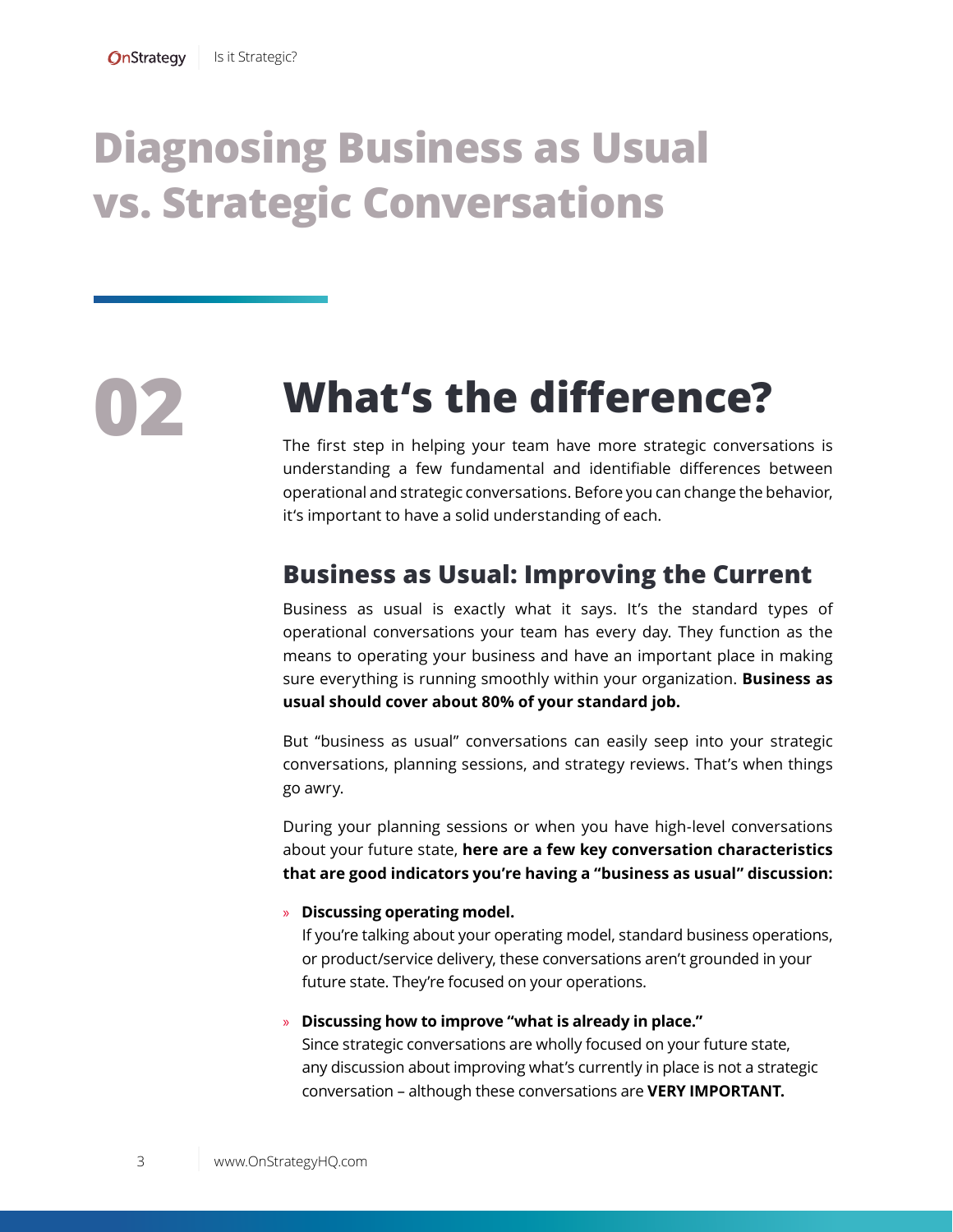# **[Diagnosing Business as Usual](#page-2-0)  [vs. Strategic Conversations](#page-2-0)**

# **02 What's the difference?**

The first step in helping your team have more strategic conversations is understanding a few fundamental and identifiable differences between operational and strategic conversations. Before you can change the behavior, it's important to have a solid understanding of each.

### <span id="page-2-0"></span>**Business as Usual: Improving the Current**

Business as usual is exactly what it says. It's the standard types of operational conversations your team has every day. They function as the means to operating your business and have an important place in making sure everything is running smoothly within your organization. **Business as usual should cover about 80% of your standard job.** 

But "business as usual" conversations can easily seep into your strategic conversations, planning sessions, and strategy reviews. That's when things go awry.

During your planning sessions or when you have high-level conversations about your future state, **here are a few key conversation characteristics that are good indicators you're having a "business as usual" discussion:** 

#### » **Discussing operating model.**

If you're talking about your operating model, standard business operations, or product/service delivery, these conversations aren't grounded in your future state. They're focused on your operations.

#### » **Discussing how to improve "what is already in place."**

Since strategic conversations are wholly focused on your future state, any discussion about improving what's currently in place is not a strategic conversation – although these conversations are **VERY IMPORTANT.**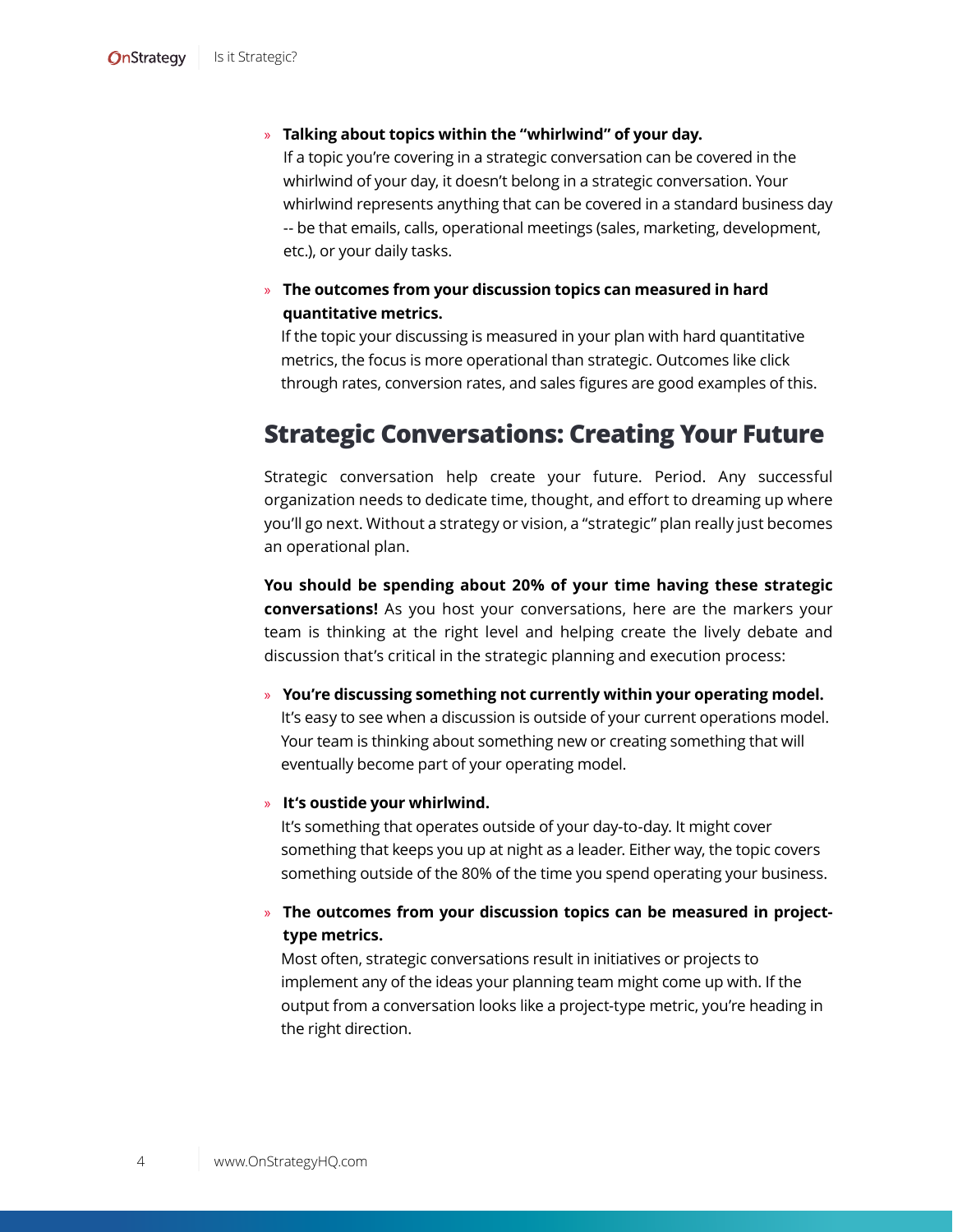#### » **Talking about topics within the "whirlwind" of your day.**

If a topic you're covering in a strategic conversation can be covered in the whirlwind of your day, it doesn't belong in a strategic conversation. Your whirlwind represents anything that can be covered in a standard business day -- be that emails, calls, operational meetings (sales, marketing, development, etc.), or your daily tasks.

#### » **The outcomes from your discussion topics can measured in hard quantitative metrics.**

If the topic your discussing is measured in your plan with hard quantitative metrics, the focus is more operational than strategic. Outcomes like click through rates, conversion rates, and sales figures are good examples of this.

### <span id="page-3-0"></span>**Strategic Conversations: Creating Your Future**

Strategic conversation help create your future. Period. Any successful organization needs to dedicate time, thought, and effort to dreaming up where you'll go next. Without a strategy or vision, a "strategic" plan really just becomes an operational plan.

**You should be spending about 20% of your time having these strategic conversations!** As you host your conversations, here are the markers your team is thinking at the right level and helping create the lively debate and discussion that's critical in the strategic planning and execution process:

» **You're discussing something not currently within your operating model.**  It's easy to see when a discussion is outside of your current operations model. Your team is thinking about something new or creating something that will eventually become part of your operating model.

#### » **It's oustide your whirlwind.**

It's something that operates outside of your day-to-day. It might cover something that keeps you up at night as a leader. Either way, the topic covers something outside of the 80% of the time you spend operating your business.

#### » **The outcomes from your discussion topics can be measured in projecttype metrics.**

Most often, strategic conversations result in initiatives or projects to implement any of the ideas your planning team might come up with. If the output from a conversation looks like a project-type metric, you're heading in the right direction.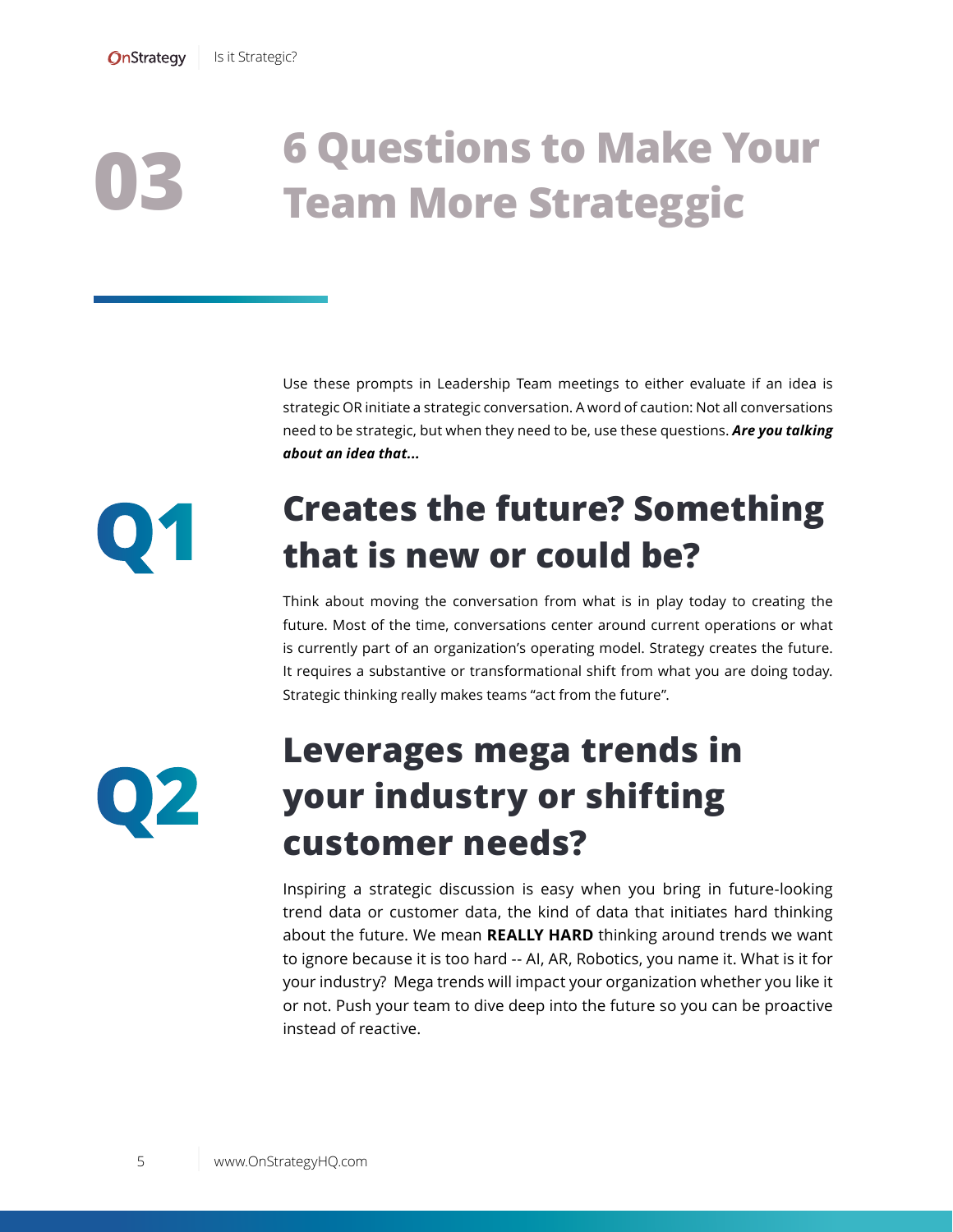### <span id="page-4-0"></span>**6 Questions to Make Your Team More Strateggic 03**

Use these prompts in Leadership Team meetings to either evaluate if an idea is strategic OR initiate a strategic conversation. A word of caution: Not all conversations need to be strategic, but when they need to be, use these questions. *Are you talking about an idea that...*

### **Creates the future? Something that is new or could be?**

Think about moving the conversation from what is in play today to creating the future. Most of the time, conversations center around current operations or what is currently part of an organization's operating model. Strategy creates the future. It requires a substantive or transformational shift from what you are doing today. Strategic thinking really makes teams "act from the future".

**Q2**

**Q1**

### **Leverages mega trends in your industry or shifting customer needs?**

Inspiring a strategic discussion is easy when you bring in future-looking trend data or customer data, the kind of data that initiates hard thinking about the future. We mean **REALLY HARD** thinking around trends we want to ignore because it is too hard -- AI, AR, Robotics, you name it. What is it for your industry? Mega trends will impact your organization whether you like it or not. Push your team to dive deep into the future so you can be proactive instead of reactive.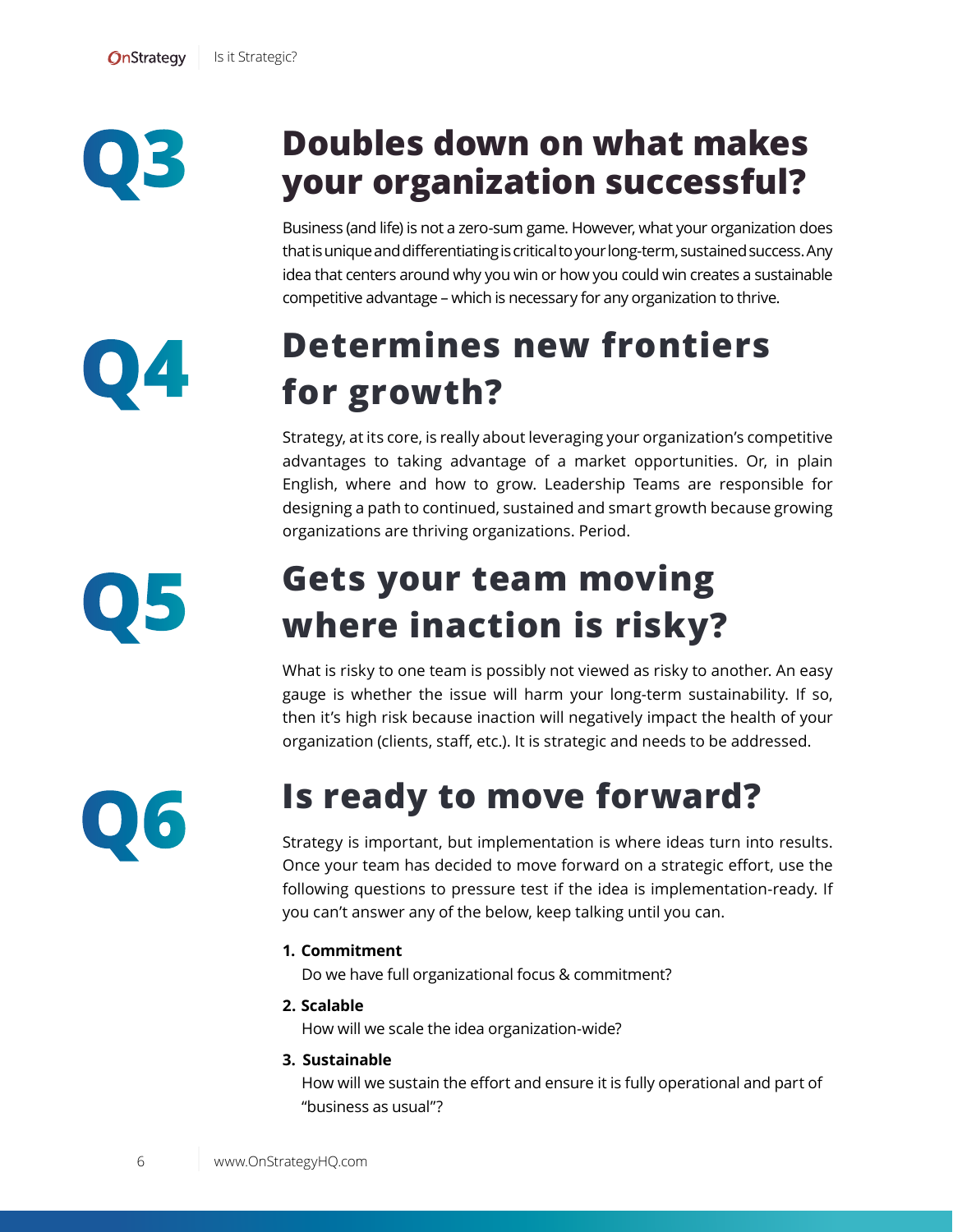**Q3**

**Q4**

### **Doubles down on what makes your organization successful?**

Business (and life) is not a zero-sum game. However, what your organization does that is unique and differentiating is critical to your long-term, sustained success. Any idea that centers around why you win or how you could win creates a sustainable competitive advantage – which is necessary for any organization to thrive.

### **Determines new frontiers for growth?**

Strategy, at its core, is really about leveraging your organization's competitive advantages to taking advantage of a market opportunities. Or, in plain English, where and how to grow. Leadership Teams are responsible for designing a path to continued, sustained and smart growth because growing organizations are thriving organizations. Period.

**Q5**

### **Gets your team moving where inaction is risky?**

What is risky to one team is possibly not viewed as risky to another. An easy gauge is whether the issue will harm your long-term sustainability. If so, then it's high risk because inaction will negatively impact the health of your organization (clients, staff, etc.). It is strategic and needs to be addressed.



### **Is ready to move forward?**

Strategy is important, but implementation is where ideas turn into results. Once your team has decided to move forward on a strategic effort, use the following questions to pressure test if the idea is implementation-ready. If you can't answer any of the below, keep talking until you can.

#### **1. Commitment**

Do we have full organizational focus & commitment?

**2. Scalable**

How will we scale the idea organization-wide?

#### **3. Sustainable**

How will we sustain the effort and ensure it is fully operational and part of "business as usual"?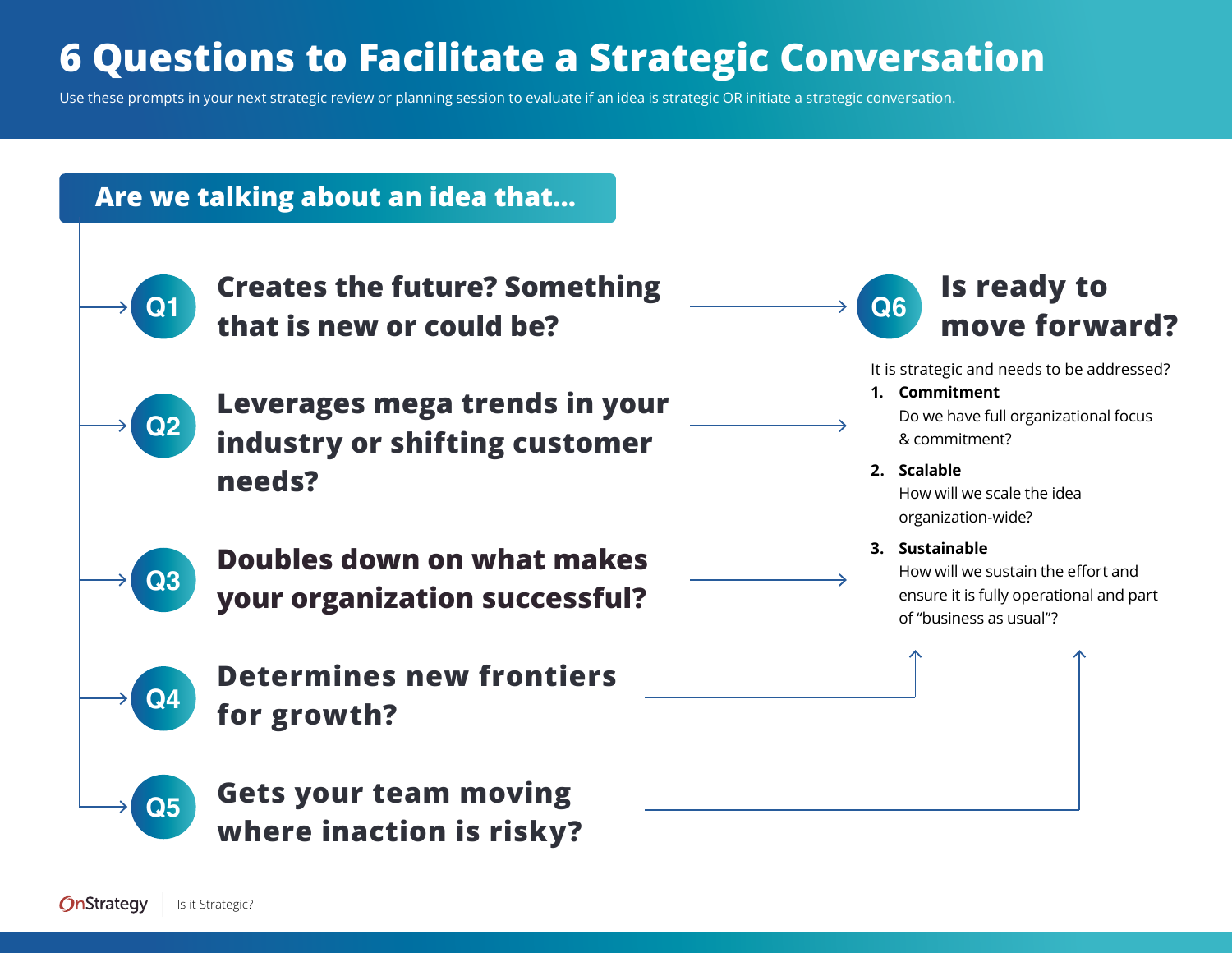# **6 Questions to Facilitate a Strategic Conversation**

Use these prompts in your next strategic review or planning session to evaluate if an idea is strategic OR initiate a strategic conversation.

### **Are we talking about an idea that...**

<span id="page-6-0"></span>

**Creates the future? Something that is new or could be?**



**Q3**

**Q4**

**Q5**

**Leverages mega trends in your industry or shifting customer needs?** 

**Doubles down on what makes your organization successful?** 

**Determines new frontiers for growth?** 

**Gets your team moving where inaction is risky?** 



It is strategic and needs to be addressed?

**1. Commitment** 

Do we have full organizational focus & commitment?

**2. Scalable**

How will we scale the idea organization-wide?

**3. Sustainable**

How will we sustain the effort and ensure it is fully operational and part of "business as usual"?

OnStrategy Is it Strategic?